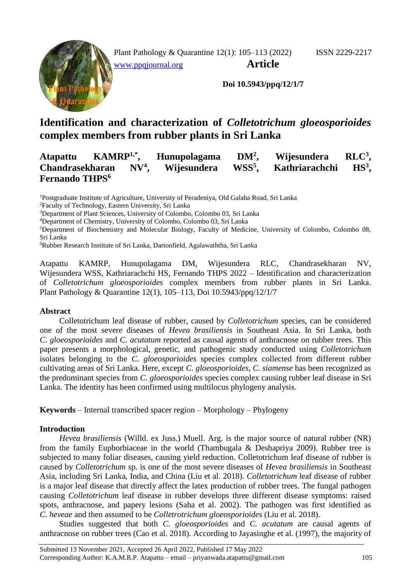

Plant Pathology & Quarantine 12(1): 105–113 (2022) ISSN 2229-2217 [www.ppqjournal.org](http://www.ppqjournal.org/) **Article**

**Doi 10.5943/ppq/12/1/7**

# **Identification and characterization of** *Colletotrichum gloeosporioides*  **complex members from rubber plants in Sri Lanka**

#### **Atapattu KAMRP1,\* , Hunupolagama DM<sup>2</sup>**  $Wijesundera$  $RLC<sup>3</sup>$ **Chandrasekharan NV<sup>4</sup> , Wijesundera WSS<sup>5</sup> Kathriarachchi**  $HS<sup>3</sup>$ . **Fernando THPS<sup>6</sup>**

<sup>1</sup>Postgraduate Institute of Agriculture, University of Peradeniya, Old Galaha Road, Sri Lanka

<sup>2</sup>Faculty of Technology, Eastern University, Sri Lanka

<sup>3</sup>Department of Plant Sciences, University of Colombo, Colombo 03, Sri Lanka

<sup>4</sup>Department of Chemistry, University of Colombo, Colombo 03, Sri Lanka

<sup>5</sup>Department of Biochemistry and Molecular Biology, Faculty of Medicine, University of Colombo, Colombo 08, Sri Lanka

<sup>6</sup>Rubber Research Institute of Sri Lanka, Dartonfield, Agalawaththa, Sri Lanka

Atapattu KAMRP, Hunupolagama DM, Wijesundera RLC, Chandrasekharan NV, Wijesundera WSS, Kathriarachchi HS, Fernando THPS 2022 – Identification and characterization of *Colletotrichum gloeosporioides* complex members from rubber plants in Sri Lanka. Plant Pathology & Quarantine 12(1), 105–113, Doi 10.5943/ppq/12/1/7

## **Abstract**

Colletotrichum leaf disease of rubber, caused by *Colletotrichum* species, can be considered one of the most severe diseases of *Hevea brasiliensis* in Southeast Asia. In Sri Lanka, both *C*. *gloeosporioides* and *C*. *acutatum* reported as causal agents of anthracnose on rubber trees. This paper presents a morphological, genetic, and pathogenic study conducted using *Colletotrichum* isolates belonging to the *C*. *gloeosporioides* species complex collected from different rubber cultivating areas of Sri Lanka. Here, except *C*. *gloeosporioides*, *C*. *siamense* has been recognized as the predominant species from *C*. *gloeosporioides* species complex causing rubber leaf disease in Sri Lanka. The identity has been confirmed using multilocus phylogeny analysis.

**Keywords** – Internal transcribed spacer region – Morphology – Phylogeny

# **Introduction**

*Hevea brasiliensis* (Willd. ex Juss.) Muell. Arg. is the major source of natural rubber (NR) from the family Euphorbiaceae in the world (Thambugala & Deshapriya 2009). Rubber tree is subjected to many foliar diseases, causing yield reduction. Colletotrichum leaf disease of rubber is caused by *Colletotrichum* sp. is one of the most severe diseases of *Hevea brasiliensis* in Southeast Asia, including Sri Lanka, India, and China (Liu et al. 2018). *Colletotrichum* leaf disease of rubber is a major leaf disease that directly affect the latex production of rubber trees. The fungal pathogen causing *Colletotrichum* leaf disease in rubber develops three different disease symptoms: raised spots, anthracnose, and papery lesions (Saha et al. 2002). The pathogen was first identified as *C*. *heveae* and then assumed to be *Colletrotrichum gloeosporioides* (Liu et al. 2018).

Studies suggested that both *C. gloeosporioides* and *C. acutatum* are causal agents of anthracnose on rubber trees (Cao et al. 2018). According to Jayasinghe et al. (1997), the majority of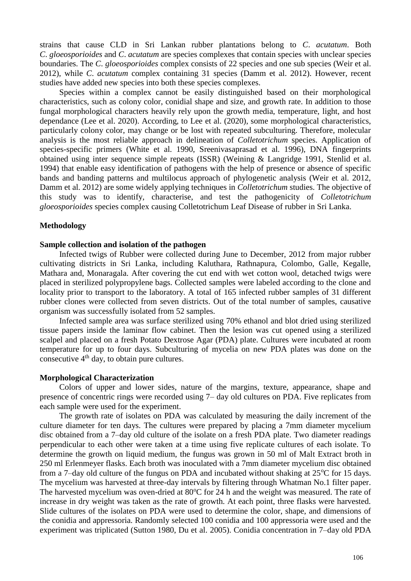strains that cause CLD in Sri Lankan rubber plantations belong to *C*. *acutatum*. Both *C*. *gloeosporioides* and *C*. *acutatum* are species complexes that contain species with unclear species boundaries. The *C*. *gloeosporioides* complex consists of 22 species and one sub species (Weir et al. 2012), while *C*. *acutatum* complex containing 31 species (Damm et al. 2012). However, recent studies have added new species into both these species complexes.

Species within a complex cannot be easily distinguished based on their morphological characteristics, such as colony color, conidial shape and size, and growth rate. In addition to those fungal morphological characters heavily rely upon the growth media, temperature, light, and host dependance (Lee et al. 2020). According, to Lee et al. (2020), some morphological characteristics, particularly colony color, may change or be lost with repeated subculturing. Therefore, molecular analysis is the most reliable approach in delineation of *Colletotrichum* species. Application of species-specific primers (White et al. 1990, Sreenivasaprasad et al. 1996), DNA fingerprints obtained using inter sequence simple repeats (ISSR) (Weining & Langridge 1991, Stenlid et al. 1994) that enable easy identification of pathogens with the help of presence or absence of specific bands and banding patterns and multilocus approach of phylogenetic analysis (Weir et al. 2012, Damm et al. 2012) are some widely applying techniques in *Colletotrichum* studies. The objective of this study was to identify, characterise, and test the pathogenicity of *Colletotrichum gloeosporioides* species complex causing Colletotrichum Leaf Disease of rubber in Sri Lanka.

#### **Methodology**

#### **Sample collection and isolation of the pathogen**

Infected twigs of Rubber were collected during June to December, 2012 from major rubber cultivating districts in Sri Lanka, including Kaluthara, Rathnapura, Colombo, Galle, Kegalle, Mathara and, Monaragala. After covering the cut end with wet cotton wool, detached twigs were placed in sterilized polypropylene bags. Collected samples were labeled according to the clone and locality prior to transport to the laboratory. A total of 165 infected rubber samples of 31 different rubber clones were collected from seven districts. Out of the total number of samples, causative organism was successfully isolated from 52 samples.

Infected sample area was surface sterilized using 70% ethanol and blot dried using sterilized tissue papers inside the laminar flow cabinet. Then the lesion was cut opened using a sterilized scalpel and placed on a fresh Potato Dextrose Agar (PDA) plate. Cultures were incubated at room temperature for up to four days. Subculturing of mycelia on new PDA plates was done on the consecutive  $4<sup>th</sup>$  day, to obtain pure cultures.

### **Morphological Characterization**

Colors of upper and lower sides, nature of the margins, texture, appearance, shape and presence of concentric rings were recorded using 7– day old cultures on PDA. Five replicates from each sample were used for the experiment.

The growth rate of isolates on PDA was calculated by measuring the daily increment of the culture diameter for ten days. The cultures were prepared by placing a 7mm diameter mycelium disc obtained from a 7–day old culture of the isolate on a fresh PDA plate. Two diameter readings perpendicular to each other were taken at a time using five replicate cultures of each isolate. To determine the growth on liquid medium, the fungus was grown in 50 ml of Malt Extract broth in 250 ml Erlenmeyer flasks. Each broth was inoculated with a 7mm diameter mycelium disc obtained from a 7-day old culture of the fungus on PDA and incubated without shaking at  $25^{\circ}$ C for 15 days. The mycelium was harvested at three-day intervals by filtering through Whatman No.1 filter paper. The harvested mycelium was oven-dried at  $80^{\circ}$ C for 24 h and the weight was measured. The rate of increase in dry weight was taken as the rate of growth. At each point, three flasks were harvested. Slide cultures of the isolates on PDA were used to determine the color, shape, and dimensions of the conidia and appressoria. Randomly selected 100 conidia and 100 appressoria were used and the experiment was triplicated (Sutton 1980, Du et al. 2005). Conidia concentration in 7–day old PDA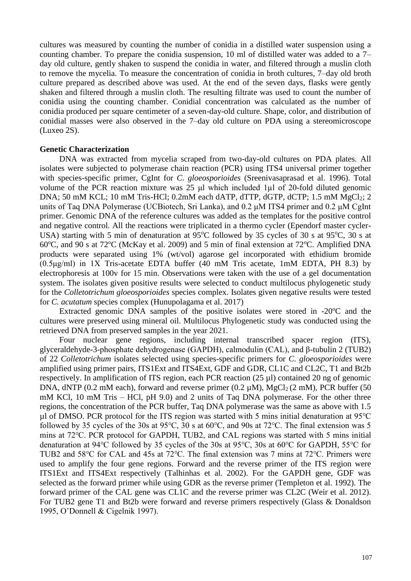cultures was measured by counting the number of conidia in a distilled water suspension using a counting chamber. To prepare the conidia suspension, 10 ml of distilled water was added to a 7– day old culture, gently shaken to suspend the conidia in water, and filtered through a muslin cloth to remove the mycelia. To measure the concentration of conidia in broth cultures, 7–day old broth culture prepared as described above was used. At the end of the seven days, flasks were gently shaken and filtered through a muslin cloth. The resulting filtrate was used to count the number of conidia using the counting chamber. Conidial concentration was calculated as the number of conidia produced per square centimeter of a seven-day-old culture. Shape, color, and distribution of conidial masses were also observed in the 7–day old culture on PDA using a stereomicroscope (Luxeo 2S).

#### **Genetic Characterization**

DNA was extracted from mycelia scraped from two-day-old cultures on PDA plates. All isolates were subjected to polymerase chain reaction (PCR) using ITS4 universal primer together with species-specific primer, CgInt for *C*. *gloeosporioides* (Sreenivasaprasad et al. 1996). Total volume of the PCR reaction mixture was 25 μl which included 1µl of 20-fold diluted genomic DNA; 50 mM KCL; 10 mM Tris-HCl; 0.2mM each dATP, dTTP, dGTP, dCTP; 1.5 mM  $MgCl<sub>2</sub>$ ; 2 units of Taq DNA Polymerase (UCBiotech, Sri Lanka), and 0.2 μM ITS4 primer and 0.2 μM CgInt primer. Genomic DNA of the reference cultures was added as the templates for the positive control and negative control. All the reactions were triplicated in a thermo cycler (Ependorf master cycler-USA) starting with 5 min of denaturation at 95 $^{\circ}$ C followed by 35 cycles of 30 s at 95 $^{\circ}$ C, 30 s at 60 $\degree$ C, and 90 s at 72 $\degree$ C (McKay et al. 2009) and 5 min of final extension at 72 $\degree$ C. Amplified DNA products were separated using 1% (wt/vol) agarose gel incorporated with ethidium bromide (0.5μg/ml) in 1X Tris-acetate EDTA buffer (40 mM Tris acetate, 1mM EDTA, PH 8.3) by electrophoresis at 100v for 15 min. Observations were taken with the use of a gel documentation system. The isolates given positive results were selected to conduct multilocus phylogenetic study for the *Colletotrichum gloeosporioides* species complex. Isolates given negative results were tested for *C. acutatum* species complex (Hunupolagama et al. 2017)

Extracted genomic DNA samples of the positive isolates were stored in  $-20^{\circ}$ C and the cultures were preserved using mineral oil. Multilocus Phylogenetic study was conducted using the retrieved DNA from preserved samples in the year 2021.

Four nuclear gene regions, including internal transcribed spacer region (ITS), glyceraldehyde-3-phosphate dehydrogenase (GAPDH), calmodulin (CAL), and β-tubulin 2 (TUB2) of 22 *Colletotrichum* isolates selected using species-specific primers for *C. gloeosporioides* were amplified using primer pairs, ITS1Ext and ITS4Ext, GDF and GDR, CL1C and CL2C, T1 and Bt2b respectively. In amplification of ITS region, each PCR reaction (25 µl) contained 20 ng of genomic DNA, dNTP (0.2 mM each), forward and reverse primer (0.2  $\mu$ M), MgCl<sub>2</sub> (2 mM), PCR buffer (50 mM KCl, 10 mM Tris – HCl, pH 9.0) and 2 units of Taq DNA polymerase. For the other three regions, the concentration of the PCR buffer, Taq DNA polymerase was the same as above with 1.5 µl of DMSO. PCR protocol for the ITS region was started with 5 mins initial denaturation at 95 °C followed by 35 cycles of the 30s at 95℃, 30 s at 60℃, and 90s at 72℃. The final extension was 5 mins at 72℃. PCR protocol for GAPDH, TUB2, and CAL regions was started with 5 mins initial denaturation at 94℃ followed by 35 cycles of the 30s at 95℃, 30s at 60℃ for GAPDH, 55℃ for TUB2 and 58℃ for CAL and 45s at 72℃. The final extension was 7 mins at 72℃. Primers were used to amplify the four gene regions. Forward and the reverse primer of the ITS region were ITS1Ext and ITS4Ext respectively (Talhinhas et al. 2002). For the GAPDH gene, GDF was selected as the forward primer while using GDR as the reverse primer (Templeton et al. 1992). The forward primer of the CAL gene was CL1C and the reverse primer was CL2C (Weir et al. 2012). For TUB2 gene T1 and Bt2b were forward and reverse primers respectively (Glass & Donaldson 1995, O'Donnell & Cigelnik 1997).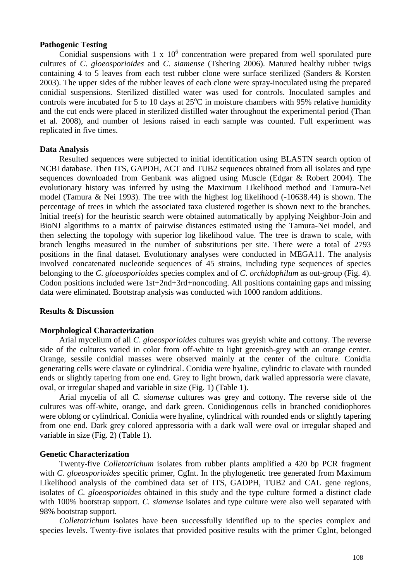#### **Pathogenic Testing**

Conidial suspensions with  $1 \times 10^6$  concentration were prepared from well sporulated pure cultures of *C*. *gloeosporioides* and *C. siamense* (Tshering 2006). Matured healthy rubber twigs containing 4 to 5 leaves from each test rubber clone were surface sterilized (Sanders & Korsten 2003). The upper sides of the rubber leaves of each clone were spray-inoculated using the prepared conidial suspensions. Sterilized distilled water was used for controls. Inoculated samples and controls were incubated for 5 to 10 days at  $25^{\circ}$ C in moisture chambers with 95% relative humidity and the cut ends were placed in sterilized distilled water throughout the experimental period (Than et al. 2008), and number of lesions raised in each sample was counted. Full experiment was replicated in five times.

### **Data Analysis**

Resulted sequences were subjected to initial identification using BLASTN search option of NCBI database. Then ITS, GAPDH, ACT and TUB2 sequences obtained from all isolates and type sequences downloaded from Genbank was aligned using Muscle (Edgar & Robert 2004). The evolutionary history was inferred by using the Maximum Likelihood method and Tamura-Nei model (Tamura & Nei 1993). The tree with the highest log likelihood (-10638.44) is shown. The percentage of trees in which the associated taxa clustered together is shown next to the branches. Initial tree(s) for the heuristic search were obtained automatically by applying Neighbor-Join and BioNJ algorithms to a matrix of pairwise distances estimated using the Tamura-Nei model, and then selecting the topology with superior log likelihood value. The tree is drawn to scale, with branch lengths measured in the number of substitutions per site. There were a total of 2793 positions in the final dataset. Evolutionary analyses were conducted in MEGA11. The analysis involved concatenated nucleotide sequences of 45 strains, including type sequences of species belonging to the *C*. *gloeosporioides* species complex and of *C*. *orchidophilum* as out-group (Fig. 4). Codon positions included were 1st+2nd+3rd+noncoding. All positions containing gaps and missing data were eliminated. Bootstrap analysis was conducted with 1000 random additions.

#### **Results & Discussion**

#### **Morphological Characterization**

Arial mycelium of all *C*. *gloeosporioides* cultures was greyish white and cottony. The reverse side of the cultures varied in color from off-white to light greenish-grey with an orange center. Orange, sessile conidial masses were observed mainly at the center of the culture. Conidia generating cells were clavate or cylindrical. Conidia were hyaline, cylindric to clavate with rounded ends or slightly tapering from one end. Grey to light brown, dark walled appressoria were clavate, oval, or irregular shaped and variable in size (Fig. 1) (Table 1).

Arial mycelia of all *C. siamense* cultures was grey and cottony. The reverse side of the cultures was off-white, orange, and dark green. Conidiogenous cells in branched conidiophores were oblong or cylindrical. Conidia were hyaline, cylindrical with rounded ends or slightly tapering from one end. Dark grey colored appressoria with a dark wall were oval or irregular shaped and variable in size (Fig. 2) (Table 1).

### **Genetic Characterization**

Twenty-five *Colletotrichum* isolates from rubber plants amplified a 420 bp PCR fragment with *C. gloeosporioides* specific primer, CgInt. In the phylogenetic tree generated from Maximum Likelihood analysis of the combined data set of ITS, GADPH, TUB2 and CAL gene regions, isolates of *C. gloeosporioides* obtained in this study and the type culture formed a distinct clade with 100% bootstrap support. *C. siamense* isolates and type culture were also well separated with 98% bootstrap support.

*Colletotrichum* isolates have been successfully identified up to the species complex and species levels. Twenty-five isolates that provided positive results with the primer CgInt, belonged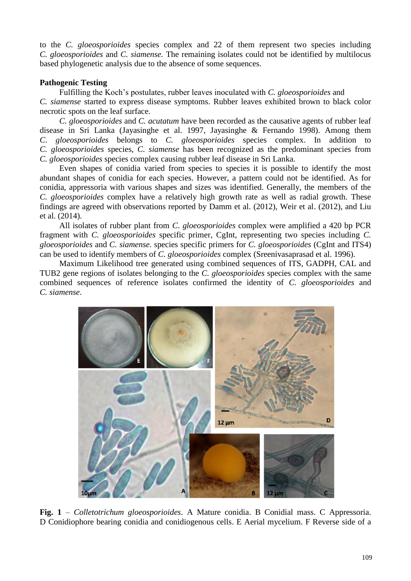to the *C. gloeosporioides* species complex and 22 of them represent two species including *C. gloeosporioides* and *C. siamense.* The remaining isolates could not be identified by multilocus based phylogenetic analysis due to the absence of some sequences.

# **Pathogenic Testing**

Fulfilling the Koch's postulates, rubber leaves inoculated with *C. gloeosporioides* and *C. siamense* started to express disease symptoms. Rubber leaves exhibited brown to black color necrotic spots on the leaf surface.

*C. gloeosporioides* and *C. acutatum* have been recorded as the causative agents of rubber leaf disease in Sri Lanka (Jayasinghe et al. 1997, Jayasinghe & Fernando 1998). Among them *C*. *gloeosporioides* belongs to *C. gloeosporioides* species complex. In addition to *C. gloeosporioides* species, *C. siamense* has been recognized as the predominant species from *C. gloeosporioides* species complex causing rubber leaf disease in Sri Lanka.

Even shapes of conidia varied from species to species it is possible to identify the most abundant shapes of conidia for each species. However, a pattern could not be identified. As for conidia, appressoria with various shapes and sizes was identified. Generally, the members of the *C. gloeosporioides* complex have a relatively high growth rate as well as radial growth. These findings are agreed with observations reported by Damm et al. (2012), Weir et al. (2012), and Liu et al. (2014).

All isolates of rubber plant from *C*. *gloeosporioides* complex were amplified a 420 bp PCR fragment with *C. gloeosporioides* specific primer, CgInt, representing two species including *C. gloeosporioides* and *C. siamense.* species specific primers for *C. gloeosporioides* (CgInt and ITS4) can be used to identify members of *C. gloeosporioides* complex (Sreenivasaprasad et al. 1996).

Maximum Likelihood tree generated using combined sequences of ITS, GADPH, CAL and TUB2 gene regions of isolates belonging to the *C. gloeosporioides* species complex with the same combined sequences of reference isolates confirmed the identity of *C. gloeosporioides* and *C. siamense*.



**Fig. 1** – *Colletotrichum gloeosporioides*. A Mature conidia. B Conidial mass. C Appressoria. D Conidiophore bearing conidia and conidiogenous cells. E Aerial mycelium. F Reverse side of a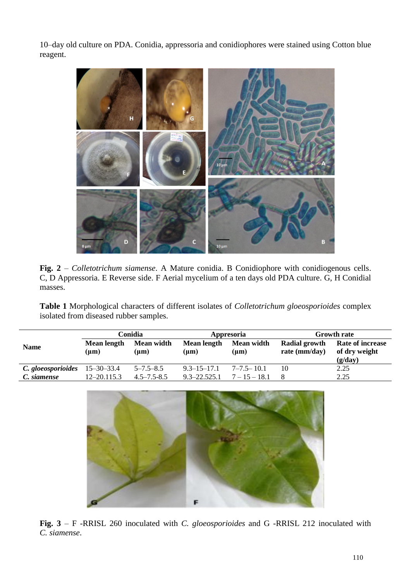10–day old culture on PDA. Conidia, appressoria and conidiophores were stained using Cotton blue reagent.



**Fig. 2** – *Colletotrichum siamense*. A Mature conidia. B Conidiophore with conidiogenous cells. C, D Appressoria. E Reverse side. F Aerial mycelium of a ten days old PDA culture. G, H Conidial masses.

**Table 1** Morphological characters of different isolates of *Colletotrichum gloeosporioides* complex isolated from diseased rubber samples.

|                                 | Conidia                  |                         | Appresoria               |                         | <b>Growth rate</b>               |                                                     |
|---------------------------------|--------------------------|-------------------------|--------------------------|-------------------------|----------------------------------|-----------------------------------------------------|
| <b>Name</b>                     | Mean length<br>$(\mu m)$ | Mean width<br>$(\mu m)$ | Mean length<br>$(\mu m)$ | Mean width<br>$(\mu m)$ | Radial growth<br>rate $(mm/day)$ | <b>Rate of increase</b><br>of dry weight<br>(g/day) |
| C. gloeosporioides $15-30-33.4$ |                          | $5 - 7.5 - 8.5$         | $9.3 - 15 - 17.1$        | $7 - 7.5 - 10.1$        | 10                               | 2.25                                                |
| C. siamense                     | $12 - 20.115.3$          | $4.5 - 7.5 - 8.5$       | $9.3 - 22.525.1$         | $7 - 15 - 18.1$         |                                  | 2.25                                                |



**Fig. 3** – F -RRISL 260 inoculated with *C. gloeosporioides* and G -RRISL 212 inoculated with *C. siamense*.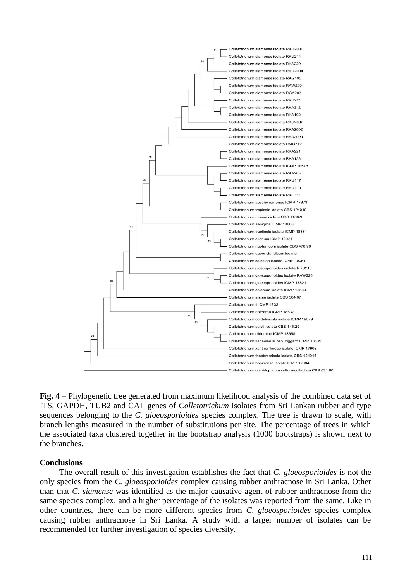

**Fig. 4** – Phylogenetic tree generated from maximum likelihood analysis of the combined data set of ITS, GAPDH, TUB2 and CAL genes of *Colletotrichum* isolates from Sri Lankan rubber and type sequences belonging to the *C. gloeosporioides* species complex. The tree is drawn to scale, with branch lengths measured in the number of substitutions per site. The percentage of trees in which the associated taxa clustered together in the bootstrap analysis (1000 bootstraps) is shown next to the branches.

#### **Conclusions**

The overall result of this investigation establishes the fact that *C*. *gloeosporioides* is not the only species from the *C. gloeosporioides* complex causing rubber anthracnose in Sri Lanka. Other than that *C. siamense* was identified as the major causative agent of rubber anthracnose from the same species complex, and a higher percentage of the isolates was reported from the same. Like in other countries, there can be more different species from *C*. *gloeosporioides* species complex causing rubber anthracnose in Sri Lanka. A study with a larger number of isolates can be recommended for further investigation of species diversity.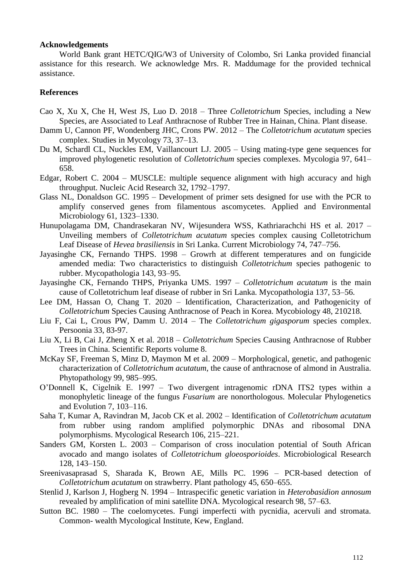#### **Acknowledgements**

World Bank grant HETC/QIG/W3 of University of Colombo, Sri Lanka provided financial assistance for this research. We acknowledge Mrs. R. Maddumage for the provided technical assistance.

#### **References**

- Cao X, Xu X, Che H, West JS, Luo D. 2018 Three *Colletotrichum* Species, including a New Species, are Associated to Leaf Anthracnose of Rubber Tree in Hainan, China. Plant disease.
- Damm U, Cannon PF, Wondenberg JHC, Crons PW. 2012 The *Colletotrichum acutatum* species complex. Studies in Mycology 73, 37–13.
- Du M, Schardl CL, Nuckles EM, Vaillancourt LJ. 2005 Using mating-type gene sequences for improved phylogenetic resolution of *Colletotrichum* species complexes. Mycologia 97, 641– 658.
- Edgar, Robert C. 2004 MUSCLE: multiple sequence alignment with high accuracy and high throughput. Nucleic Acid Research 32, 1792–1797.
- Glass NL, Donaldson GC. 1995 Development of primer sets designed for use with the PCR to amplify conserved genes from filamentous ascomycetes. Applied and Environmental Microbiology 61, 1323–1330.
- Hunupolagama DM, Chandrasekaran NV, Wijesundera WSS, Kathriarachchi HS et al. 2017 Unveiling members of *Colletotrichum acutatum* species complex causing Colletotrichum Leaf Disease of *Hevea brasiliensis* in Sri Lanka. Current Microbiology 74, 747–756.
- Jayasinghe CK, Fernando THPS. 1998 Growrh at different temperatures and on fungicide amended media: Two characteristics to distinguish *Colletotrichum* species pathogenic to rubber. Mycopathologia 143, 93–95.
- Jayasinghe CK, Fernando THPS, Priyanka UMS. 1997 *Colletotrichum acutatum* is the main cause of Colletotrichum leaf disease of rubber in Sri Lanka. Mycopathologia 137, 53–56.
- Lee DM, Hassan O, Chang T. 2020 Identification, Characterization, and Pathogenicity of *Colletotrichum* Species Causing Anthracnose of Peach in Korea. Mycobiology 48, 210218.
- Liu F, Cai L, Crous PW, Damm U. 2014 The *Colletotrichum gigasporum* species complex. Persoonia 33, 83-97.
- Liu X, Li B, Cai J, Zheng X et al. 2018 *Colletotrichum* Species Causing Anthracnose of Rubber Trees in China. Scientific Reports volume 8.
- McKay SF, Freeman S, Minz D, Maymon M et al. 2009 Morphological, genetic, and pathogenic characterization of *Colletotrichum acutatum*, the cause of anthracnose of almond in Australia. Phytopathology 99, 985–995.
- O'Donnell K, Cigelnik E. 1997 Two divergent intragenomic rDNA ITS2 types within a monophyletic lineage of the fungus *Fusarium* are nonorthologous. Molecular Phylogenetics and Evolution 7, 103–116.
- Saha T, Kumar A, Ravindran M, Jacob CK et al. 2002 Identification of *Colletotrichum acutatum* from rubber using random amplified polymorphic DNAs and ribosomal DNA polymorphisms. Mycological Research 106, 215–221.
- Sanders GM, Korsten L. 2003 Comparison of cross inoculation potential of South African avocado and mango isolates of *Colletotrichum gloeosporioides*. Microbiological Research 128, 143–150.
- Sreenivasaprasad S, Sharada K, Brown AE, Mills PC. 1996 PCR-based detection of *Colletotrichum acutatum* on strawberry. Plant pathology 45, 650–655.
- Stenlid J, Karlson J, Hogberg N. 1994 Intraspecific genetic variation in *Heterobasidion annosum*  revealed by amplification of mini satellite DNA. Mycological research 98, 57–63.
- Sutton BC. 1980 The coelomycetes. Fungi imperfecti with pycnidia, acervuli and stromata. Common- wealth Mycological Institute, Kew, England.